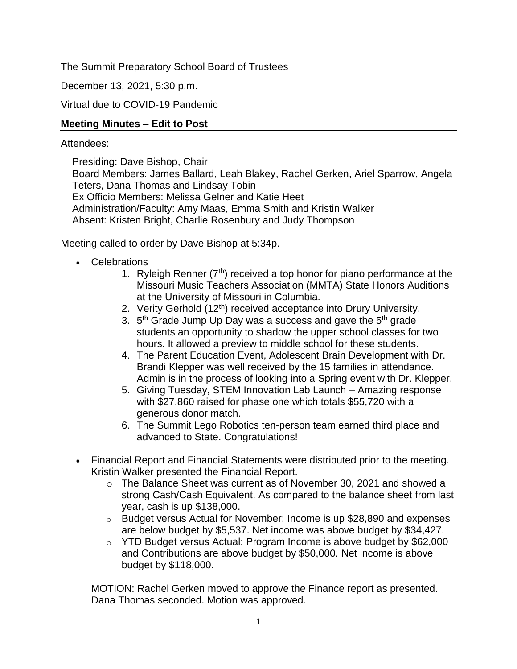The Summit Preparatory School Board of Trustees

December 13, 2021, 5:30 p.m.

Virtual due to COVID-19 Pandemic

# **Meeting Minutes – Edit to Post**

## Attendees:

Presiding: Dave Bishop, Chair Board Members: James Ballard, Leah Blakey, Rachel Gerken, Ariel Sparrow, Angela Teters, Dana Thomas and Lindsay Tobin Ex Officio Members: Melissa Gelner and Katie Heet Administration/Faculty: Amy Maas, Emma Smith and Kristin Walker Absent: Kristen Bright, Charlie Rosenbury and Judy Thompson

Meeting called to order by Dave Bishop at 5:34p.

- Celebrations
	- 1. Ryleigh Renner  $(7<sup>th</sup>)$  received a top honor for piano performance at the Missouri Music Teachers Association (MMTA) State Honors Auditions at the University of Missouri in Columbia.
	- 2. Verity Gerhold (12<sup>th</sup>) received acceptance into Drury University.
	- 3. 5<sup>th</sup> Grade Jump Up Day was a success and gave the 5<sup>th</sup> grade students an opportunity to shadow the upper school classes for two hours. It allowed a preview to middle school for these students.
	- 4. The Parent Education Event, Adolescent Brain Development with Dr. Brandi Klepper was well received by the 15 families in attendance. Admin is in the process of looking into a Spring event with Dr. Klepper.
	- 5. Giving Tuesday, STEM Innovation Lab Launch Amazing response with \$27,860 raised for phase one which totals \$55,720 with a generous donor match.
	- 6. The Summit Lego Robotics ten-person team earned third place and advanced to State. Congratulations!
- Financial Report and Financial Statements were distributed prior to the meeting. Kristin Walker presented the Financial Report.
	- o The Balance Sheet was current as of November 30, 2021 and showed a strong Cash/Cash Equivalent. As compared to the balance sheet from last year, cash is up \$138,000.
	- o Budget versus Actual for November: Income is up \$28,890 and expenses are below budget by \$5,537. Net income was above budget by \$34,427.
	- o YTD Budget versus Actual: Program Income is above budget by \$62,000 and Contributions are above budget by \$50,000. Net income is above budget by \$118,000.

MOTION: Rachel Gerken moved to approve the Finance report as presented. Dana Thomas seconded. Motion was approved.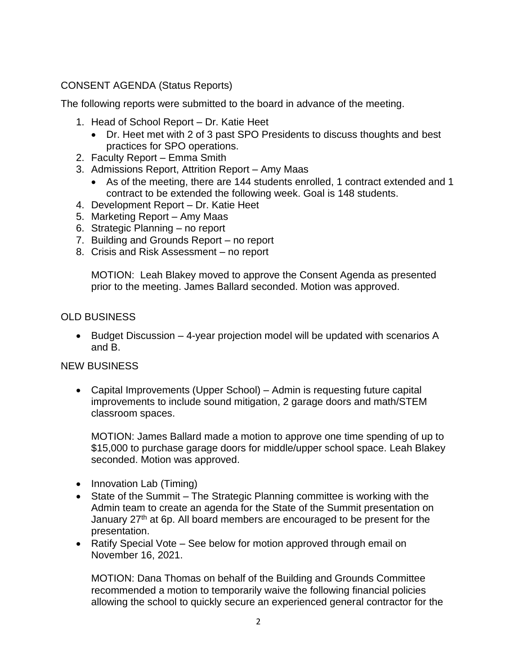# CONSENT AGENDA (Status Reports)

The following reports were submitted to the board in advance of the meeting.

- 1. Head of School Report Dr. Katie Heet
	- Dr. Heet met with 2 of 3 past SPO Presidents to discuss thoughts and best practices for SPO operations.
- 2. Faculty Report Emma Smith
- 3. Admissions Report, Attrition Report Amy Maas
	- As of the meeting, there are 144 students enrolled, 1 contract extended and 1 contract to be extended the following week. Goal is 148 students.
- 4. Development Report Dr. Katie Heet
- 5. Marketing Report Amy Maas
- 6. Strategic Planning no report
- 7. Building and Grounds Report no report
- 8. Crisis and Risk Assessment no report

MOTION: Leah Blakey moved to approve the Consent Agenda as presented prior to the meeting. James Ballard seconded. Motion was approved.

## OLD BUSINESS

• Budget Discussion – 4-year projection model will be updated with scenarios A and B.

### NEW BUSINESS

• Capital Improvements (Upper School) – Admin is requesting future capital improvements to include sound mitigation, 2 garage doors and math/STEM classroom spaces.

MOTION: James Ballard made a motion to approve one time spending of up to \$15,000 to purchase garage doors for middle/upper school space. Leah Blakey seconded. Motion was approved.

- Innovation Lab (Timing)
- State of the Summit The Strategic Planning committee is working with the Admin team to create an agenda for the State of the Summit presentation on January 27<sup>th</sup> at 6p. All board members are encouraged to be present for the presentation.
- Ratify Special Vote See below for motion approved through email on November 16, 2021.

MOTION: Dana Thomas on behalf of the Building and Grounds Committee recommended a motion to temporarily waive the following financial policies allowing the school to quickly secure an experienced general contractor for the